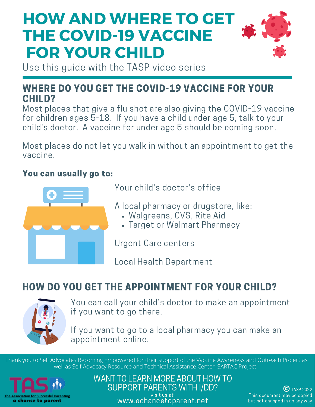

Use this guide with the TASP video series

#### WHERE DO YOU GET THE COVID-19 VACCINE FOR YOUR CHILD?

Most places that give a flu shot are also giving the COVID-19 vaccine for children ages 5-18. If you have a child under age 5, talk to your child's doctor. A vaccine for under age 5 should be coming soon.

Most places do not let you walk in without an appointment to get the vaccine.

#### You can usually go to:



Your child's doctor's office

A local pharmacy or drugstore, like:

- Walgreens, CVS, Rite Aid
- Target or Walmart Pharmacy

Urgent Care centers

Local Health Department

### HOW DO YOU GET THE APPOINTMENT FOR YOUR CHILD?



You can call your child's doctor to make an appointment if you want to go there.

If you want to go to a local pharmacy you can make an appointment online.

Thank you to Self Advocates Becoming Empowered for their support of the Vaccine Awareness and Outreach Project as well as Self Advocacy Resource and Technical Assistance Center, SARTAC Project.



WANT TO LEARN MORE ABOUT HOW TO SUPPORT PARENTS WITH I/DD? visit us at [www.achancetoparent.net](http://www.achancetoparent.net/)

**C** TASP 2022 This document may be copied but not changed in an any way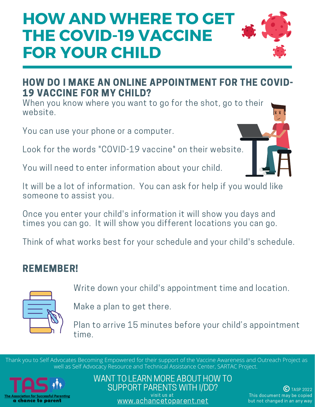

#### HOW DO I MAKE AN ONLINE APPOINTMENT FOR THE COVID-19 VACCINE FOR MY CHILD?

When you know where you want to go for the shot, go to their website.

You can use your phone or a computer.

Look for the words "COVID-19 vaccine" on their website.

You will need to enter information about your child.

It will be a lot of information. You can ask for help if you would like someone to assist you.

Once you enter your child's information it will show you days and times you can go. It will show you different locations you can go.

Think of what works best for your schedule and your child's schedule.

### REMEMBER!



Write down your child's appointment time and location.

Make a plan to get there.

Plan to arrive 15 minutes before your child's appointment time.

Thank you to Self Advocates Becoming Empowered for their support of the Vaccine Awareness and Outreach Project as well as Self Advocacy Resource and Technical Assistance Center, SARTAC Project.



WANT TO LEARN MORE ABOUT HOW TO SUPPORT PARENTS WITH I/DD? visit us at [www.achancetoparent.net](http://www.achancetoparent.net/)

TASP 2022 This document may be copied but not changed in an any way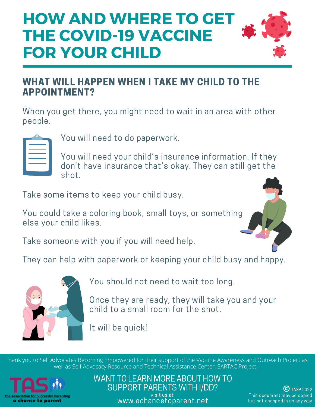

#### WHAT WILL HAPPEN WHEN I TAKE MY CHILD TO THE APPOINTMENT?

When you get there, you might need to wait in an area with other people.

You will need to do paperwork.

You will need your child's insurance information. If they don't have insurance that's okay. They can still get the shot.

Take some items to keep your child busy.

You could take a coloring book, small toys, or something else your child likes.

Take someone with you if you will need help.

They can help with paperwork or keeping your child busy and happy.



You should not need to wait too long.

Once they are ready, they will take you and your child to a small room for the shot.

It will be quick!

Thank you to Self Advocates Becoming Empowered for their support of the Vaccine Awareness and Outreach Project as well as Self Advocacy Resource and Technical Assistance Center, SARTAC Project.



WANT TO LEARN MORE ABOUT HOW TO SUPPORT PARENTS WITH I/DD? visit us at [www.achancetoparent.net](http://www.achancetoparent.net/)

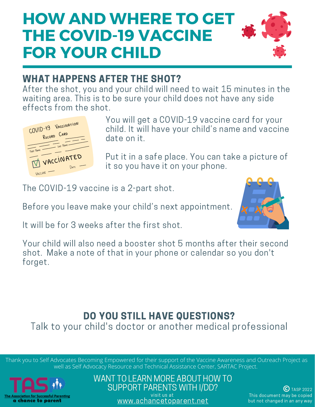

#### WHAT HAPPENS AFTER THE SHOT?

After the shot, you and your child will need to wait 15 minutes in the waiting area. This is to be sure your child does not have any side effects from the shot.



You will get a COVID-19 vaccine card for your child. It will have your child's name and vaccine date on it.

Put it in a safe place. You can take a picture of it so you have it on your phone.

The COVID-19 vaccine is a 2-part shot.

Before you leave make your child's next appointment.



It will be for 3 weeks after the first shot.

Your child will also need a booster shot 5 months after their second shot. Make a note of that in your phone or calendar so you don't forget.

### DO YOU STILL HAVE QUESTIONS?

Talk to your child's doctor or another medical professional

Thank you to Self Advocates Becoming Empowered for their support of the Vaccine Awareness and Outreach Project as well as Self Advocacy Resource and Technical Assistance Center, SARTAC Project.



WANT TO LEARN MORE ABOUT HOW TO SUPPORT PARENTS WITH I/DD? visit us at

[www.achancetoparent.net](http://www.achancetoparent.net/)

 $(C)$  TASP 2022 This document may be copied but not changed in an any way